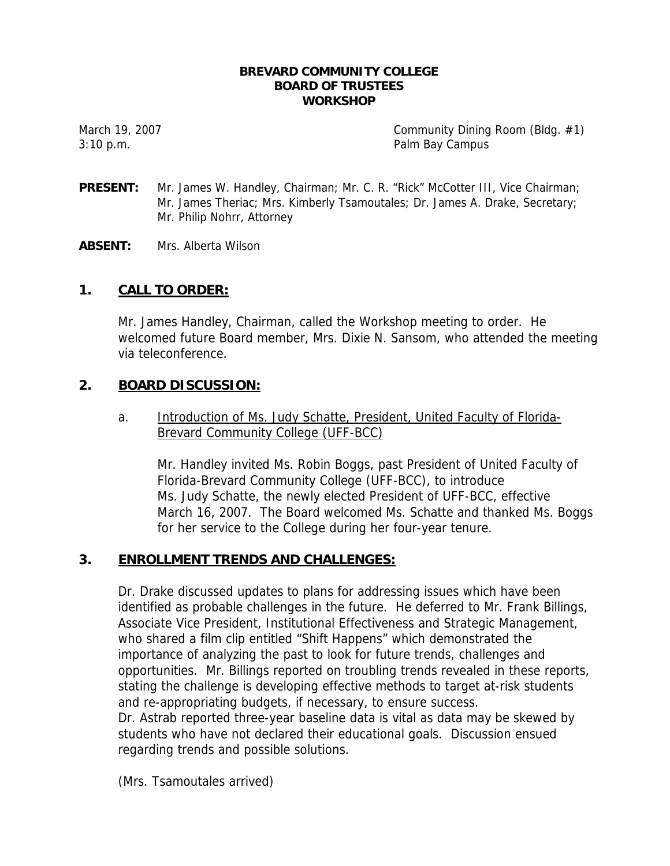#### **BREVARD COMMUNITY COLLEGE BOARD OF TRUSTEES WORKSHOP**

March 19, 2007 Community Dining Room (Bldg. #1) 3:10 p.m. Palm Bay Campus

- **PRESENT:** Mr. James W. Handley, Chairman; Mr. C. R. "Rick" McCotter III, Vice Chairman; Mr. James Theriac; Mrs. Kimberly Tsamoutales; Dr. James A. Drake, Secretary; Mr. Philip Nohrr, Attorney
- **ABSENT:** Mrs. Alberta Wilson

# **1. CALL TO ORDER:**

Mr. James Handley, Chairman, called the Workshop meeting to order. He welcomed future Board member, Mrs. Dixie N. Sansom, who attended the meeting via teleconference.

# **2. BOARD DISCUSSION:**

a. Introduction of Ms. Judy Schatte, President, United Faculty of Florida-Brevard Community College (UFF-BCC)

Mr. Handley invited Ms. Robin Boggs, past President of United Faculty of Florida-Brevard Community College (UFF-BCC), to introduce Ms. Judy Schatte, the newly elected President of UFF-BCC, effective March 16, 2007. The Board welcomed Ms. Schatte and thanked Ms. Boggs for her service to the College during her four-year tenure.

### **3. ENROLLMENT TRENDS AND CHALLENGES:**

Dr. Drake discussed updates to plans for addressing issues which have been identified as probable challenges in the future. He deferred to Mr. Frank Billings, Associate Vice President, Institutional Effectiveness and Strategic Management, who shared a film clip entitled "Shift Happens" which demonstrated the importance of analyzing the past to look for future trends, challenges and opportunities. Mr. Billings reported on troubling trends revealed in these reports, stating the challenge is developing effective methods to target at-risk students and re-appropriating budgets, if necessary, to ensure success. Dr. Astrab reported three-year baseline data is vital as data may be skewed by students who have not declared their educational goals. Discussion ensued regarding trends and possible solutions.

(Mrs. Tsamoutales arrived)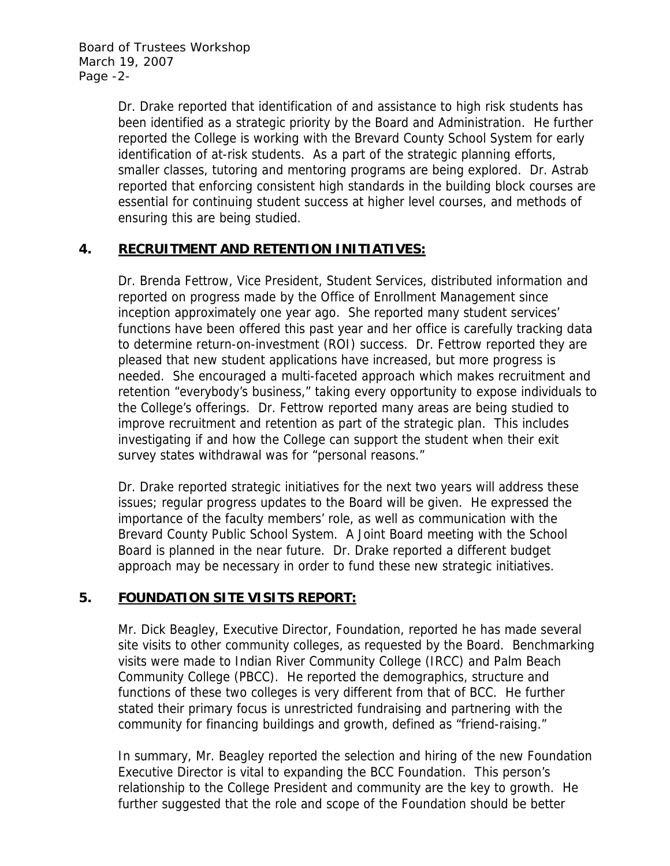Board of Trustees Workshop March 19, 2007 Page -2-

> Dr. Drake reported that identification of and assistance to high risk students has been identified as a strategic priority by the Board and Administration. He further reported the College is working with the Brevard County School System for early identification of at-risk students. As a part of the strategic planning efforts, smaller classes, tutoring and mentoring programs are being explored. Dr. Astrab reported that enforcing consistent high standards in the building block courses are essential for continuing student success at higher level courses, and methods of ensuring this are being studied.

# **4. RECRUITMENT AND RETENTION INITIATIVES:**

Dr. Brenda Fettrow, Vice President, Student Services, distributed information and reported on progress made by the Office of Enrollment Management since inception approximately one year ago. She reported many student services' functions have been offered this past year and her office is carefully tracking data to determine return-on-investment (ROI) success. Dr. Fettrow reported they are pleased that new student applications have increased, but more progress is needed. She encouraged a multi-faceted approach which makes recruitment and retention "everybody's business," taking every opportunity to expose individuals to the College's offerings. Dr. Fettrow reported many areas are being studied to improve recruitment and retention as part of the strategic plan. This includes investigating if and how the College can support the student when their exit survey states withdrawal was for "personal reasons."

Dr. Drake reported strategic initiatives for the next two years will address these issues; regular progress updates to the Board will be given. He expressed the importance of the faculty members' role, as well as communication with the Brevard County Public School System. A Joint Board meeting with the School Board is planned in the near future. Dr. Drake reported a different budget approach may be necessary in order to fund these new strategic initiatives.

# **5. FOUNDATION SITE VISITS REPORT:**

Mr. Dick Beagley, Executive Director, Foundation, reported he has made several site visits to other community colleges, as requested by the Board. Benchmarking visits were made to Indian River Community College (IRCC) and Palm Beach Community College (PBCC). He reported the demographics, structure and functions of these two colleges is very different from that of BCC. He further stated their primary focus is unrestricted fundraising and partnering with the community for financing buildings and growth, defined as "friend-raising."

In summary, Mr. Beagley reported the selection and hiring of the new Foundation Executive Director is vital to expanding the BCC Foundation. This person's relationship to the College President and community are the key to growth. He further suggested that the role and scope of the Foundation should be better